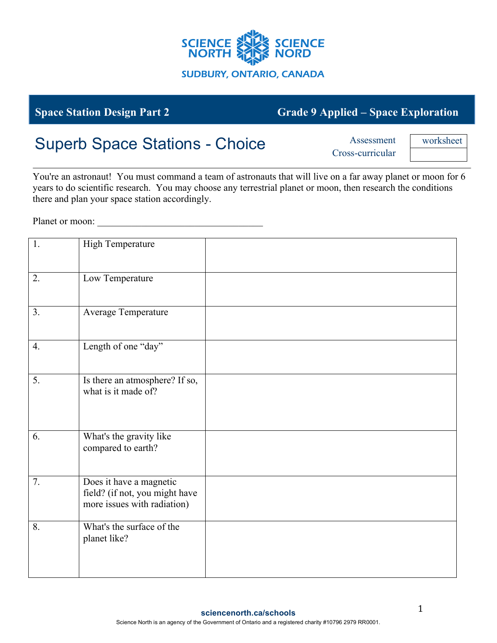

## **Space Station Design Part 2 Grade 9 Applied – Space Exploration**

## Superb Space Stations - Choice Assessment

Cross-curricular

worksheet

You're an astronaut! You must command a team of astronauts that will live on a far away planet or moon for 6 years to do scientific research. You may choose any terrestrial planet or moon, then research the conditions there and plan your space station accordingly.

Planet or moon:

| 1. | <b>High Temperature</b>                                                                  |  |
|----|------------------------------------------------------------------------------------------|--|
| 2. | Low Temperature                                                                          |  |
| 3. | Average Temperature                                                                      |  |
| 4. | Length of one "day"                                                                      |  |
| 5. | Is there an atmosphere? If so,<br>what is it made of?                                    |  |
| 6. | What's the gravity like<br>compared to earth?                                            |  |
| 7. | Does it have a magnetic<br>field? (if not, you might have<br>more issues with radiation) |  |
| 8. | What's the surface of the<br>planet like?                                                |  |